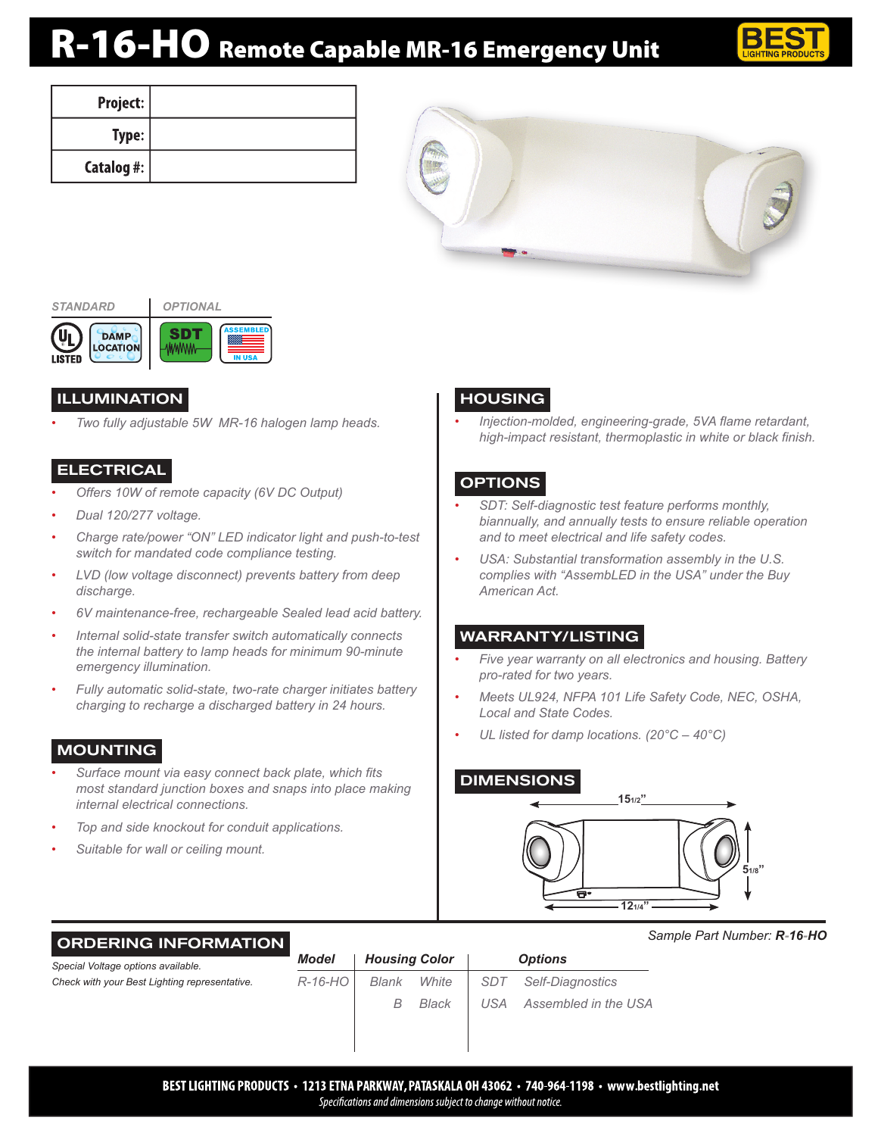# R-16-HO Remote Capable MR-16 Emergency Unit



| Project:       |  |
|----------------|--|
| Type:          |  |
| Catalog #: $ $ |  |





## ILLUMINATION

*• Two fully adjustable 5W MR-16 halogen lamp heads.*

#### ELECTRICAL

- *• Offers 10W of remote capacity (6V DC Output)*
- *• Dual 120/277 voltage.*
- *• Charge rate/power "ON" LED indicator light and push-to-test switch for mandated code compliance testing.*
- *• LVD (low voltage disconnect) prevents battery from deep discharge.*
- *• 6V maintenance-free, rechargeable Sealed lead acid battery.*
- *• Internal solid-state transfer switch automatically connects the internal battery to lamp heads for minimum 90-minute emergency illumination.*
- *• Fully automatic solid-state, two-rate charger initiates battery charging to recharge a discharged battery in 24 hours.*

# MOUNTING

- *• Surface mount via easy connect back plate, which fits most standard junction boxes and snaps into place making internal electrical connections.*
- *• Top and side knockout for conduit applications.*
- *• Suitable for wall or ceiling mount.*

# HOUSING

*• Injection-molded, engineering-grade, 5VA flame retardant, high-impact resistant, thermoplastic in white or black finish.*

## **OPTIONS**

- *• SDT: Self-diagnostic test feature performs monthly, biannually, and annually tests to ensure reliable operation and to meet electrical and life safety codes.*
- *• USA: Substantial transformation assembly in the U.S. complies with "AssembLED in the USA" under the Buy American Act.*

## WARRANTY/LISTING

- *• Five year warranty on all electronics and housing. Battery pro-rated for two years.*
- *• Meets UL924, NFPA 101 Life Safety Code, NEC, OSHA, Local and State Codes.*
- *• UL listed for damp locations. (20°C 40°C)*

#### DIMENSIONS



#### ORDERING INFORMATION

*Sample Part Number: R-16-HO*

| Special Voltage options available.            | <b>Model</b><br><b>Housing Color</b> |       | <b>Options</b> |                 |                      |
|-----------------------------------------------|--------------------------------------|-------|----------------|-----------------|----------------------|
| Check with your Best Lighting representative. | $R-16-HO$                            | Blank | White          | SD <sub>7</sub> | Self-Diagnostics     |
|                                               |                                      | В     | Black          | USA             | Assembled in the USA |
|                                               |                                      |       |                |                 |                      |
|                                               |                                      |       |                |                 |                      |